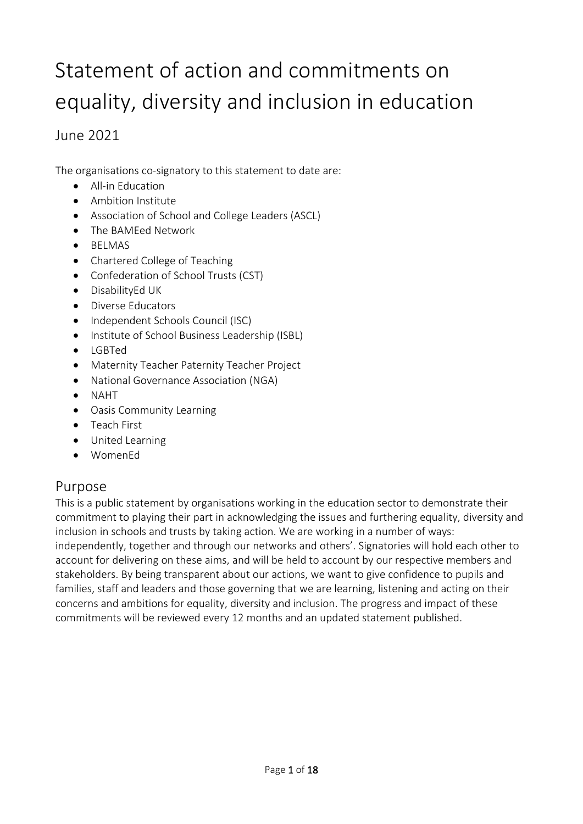# Statement of action and commitments on equality, diversity and inclusion in education

### June 2021

The organisations co-signatory to this statement to date are:

- All-in Education
- Ambition Institute
- Association of School and College Leaders (ASCL)
- The BAMEed Network
- BELMAS
- Chartered College of Teaching
- Confederation of School Trusts (CST)
- DisabilityEd UK
- Diverse Educators
- Independent Schools Council (ISC)
- Institute of School Business Leadership (ISBL)
- LGBTed
- Maternity Teacher Paternity Teacher Project
- National Governance Association (NGA)
- NAHT
- Oasis Community Learning
- Teach First
- United Learning
- WomenEd

## Purpose

This is a public statement by organisations working in the education sector to demonstrate their commitment to playing their part in acknowledging the issues and furthering equality, diversity and inclusion in schools and trusts by taking action. We are working in a number of ways: independently, together and through our networks and others'. Signatories will hold each other to account for delivering on these aims, and will be held to account by our respective members and stakeholders. By being transparent about our actions, we want to give confidence to pupils and families, staff and leaders and those governing that we are learning, listening and acting on their concerns and ambitions for equality, diversity and inclusion. The progress and impact of these commitments will be reviewed every 12 months and an updated statement published.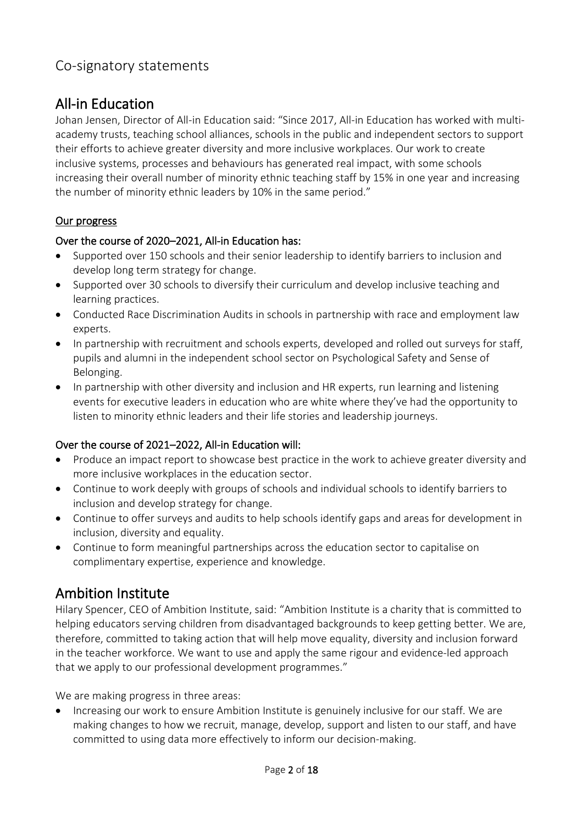### Co-signatory statements

# All-in Education

Johan Jensen, Director of All-in Education said: "Since 2017, All-in Education has worked with multiacademy trusts, teaching school alliances, schools in the public and independent sectors to support their efforts to achieve greater diversity and more inclusive workplaces. Our work to create inclusive systems, processes and behaviours has generated real impact, with some schools increasing their overall number of minority ethnic teaching staff by 15% in one year and increasing the number of minority ethnic leaders by 10% in the same period."

### Our progress

#### Over the course of 2020–2021, All-in Education has:

- Supported over 150 schools and their senior leadership to identify barriers to inclusion and develop long term strategy for change.
- Supported over 30 schools to diversify their curriculum and develop inclusive teaching and learning practices.
- Conducted Race Discrimination Audits in schools in partnership with race and employment law experts.
- In partnership with recruitment and schools experts, developed and rolled out surveys for staff, pupils and alumni in the independent school sector on Psychological Safety and Sense of Belonging.
- In partnership with other diversity and inclusion and HR experts, run learning and listening events for executive leaders in education who are white where they've had the opportunity to listen to minority ethnic leaders and their life stories and leadership journeys.

#### Over the course of 2021–2022, All-in Education will:

- Produce an impact report to showcase best practice in the work to achieve greater diversity and more inclusive workplaces in the education sector.
- Continue to work deeply with groups of schools and individual schools to identify barriers to inclusion and develop strategy for change.
- Continue to offer surveys and audits to help schools identify gaps and areas for development in inclusion, diversity and equality.
- Continue to form meaningful partnerships across the education sector to capitalise on complimentary expertise, experience and knowledge.

## Ambition Institute

Hilary Spencer, CEO of Ambition Institute, said: "Ambition Institute is a charity that is committed to helping educators serving children from disadvantaged backgrounds to keep getting better. We are, therefore, committed to taking action that will help move equality, diversity and inclusion forward in the teacher workforce. We want to use and apply the same rigour and evidence-led approach that we apply to our professional development programmes."

We are making progress in three areas:

• Increasing our work to ensure Ambition Institute is genuinely inclusive for our staff. We are making changes to how we recruit, manage, develop, support and listen to our staff, and have committed to using data more effectively to inform our decision-making.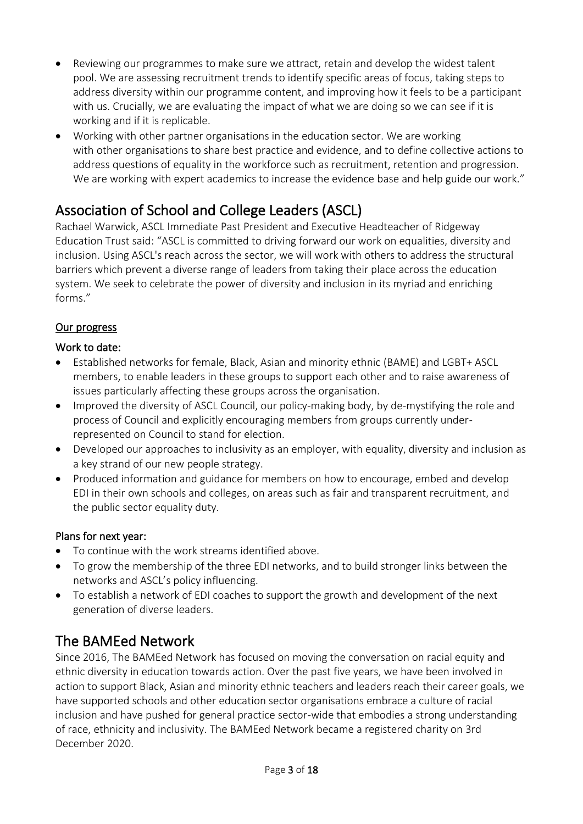- Reviewing our programmes to make sure we attract, retain and develop the widest talent pool. We are assessing recruitment trends to identify specific areas of focus, taking steps to address diversity within our programme content, and improving how it feels to be a participant with us. Crucially, we are evaluating the impact of what we are doing so we can see if it is working and if it is replicable.
- Working with other partner organisations in the education sector. We are working with other organisations to share best practice and evidence, and to define collective actions to address questions of equality in the workforce such as recruitment, retention and progression. We are working with expert academics to increase the evidence base and help guide our work."

# Association of School and College Leaders (ASCL)

Rachael Warwick, ASCL Immediate Past President and Executive Headteacher of Ridgeway Education Trust said: "ASCL is committed to driving forward our work on equalities, diversity and inclusion. Using ASCL's reach across the sector, we will work with others to address the structural barriers which prevent a diverse range of leaders from taking their place across the education system. We seek to celebrate the power of diversity and inclusion in its myriad and enriching forms."

### Our progress

### Work to date:

- Established networks for female, Black, Asian and minority ethnic (BAME) and LGBT+ ASCL members, to enable leaders in these groups to support each other and to raise awareness of issues particularly affecting these groups across the organisation.
- Improved the diversity of ASCL Council, our policy-making body, by de-mystifying the role and process of Council and explicitly encouraging members from groups currently underrepresented on Council to stand for election.
- Developed our approaches to inclusivity as an employer, with equality, diversity and inclusion as a key strand of our new people strategy.
- Produced information and guidance for members on how to encourage, embed and develop EDI in their own schools and colleges, on areas such as fair and transparent recruitment, and the public sector equality duty.

#### Plans for next year:

- To continue with the work streams identified above.
- To grow the membership of the three EDI networks, and to build stronger links between the networks and ASCL's policy influencing.
- To establish a network of EDI coaches to support the growth and development of the next generation of diverse leaders.

# The BAMEed Network

Since 2016, The BAMEed Network has focused on moving the conversation on racial equity and ethnic diversity in education towards action. Over the past five years, we have been involved in action to support Black, Asian and minority ethnic teachers and leaders reach their career goals, we have supported schools and other education sector organisations embrace a culture of racial inclusion and have pushed for general practice sector-wide that embodies a strong understanding of race, ethnicity and inclusivity. The BAMEed Network became a registered charity on 3rd December 2020.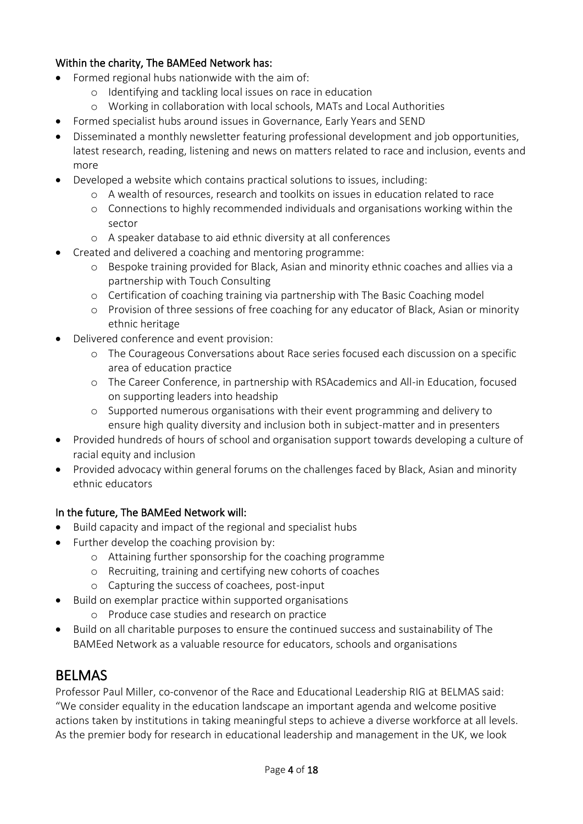#### Within the charity, The BAMEed Network has:

- Formed regional hubs nationwide with the aim of:
	- o Identifying and tackling local issues on race in education
	- o Working in collaboration with local schools, MATs and Local Authorities
- Formed specialist hubs around issues in Governance, Early Years and SEND
- Disseminated a monthly newsletter featuring professional development and job opportunities, latest research, reading, listening and news on matters related to race and inclusion, events and more
- Developed a website which contains practical solutions to issues, including:
	- o A wealth of resources, research and toolkits on issues in education related to race
	- o Connections to highly recommended individuals and organisations working within the sector
	- o A speaker database to aid ethnic diversity at all conferences
- Created and delivered a coaching and mentoring programme:
	- o Bespoke training provided for Black, Asian and minority ethnic coaches and allies via a partnership with Touch Consulting
	- o Certification of coaching training via partnership with The Basic Coaching model
	- o Provision of three sessions of free coaching for any educator of Black, Asian or minority ethnic heritage
- Delivered conference and event provision:
	- o The Courageous Conversations about Race series focused each discussion on a specific area of education practice
	- o The Career Conference, in partnership with RSAcademics and All-in Education, focused on supporting leaders into headship
	- o Supported numerous organisations with their event programming and delivery to ensure high quality diversity and inclusion both in subject-matter and in presenters
- Provided hundreds of hours of school and organisation support towards developing a culture of racial equity and inclusion
- Provided advocacy within general forums on the challenges faced by Black, Asian and minority ethnic educators

#### In the future, The BAMEed Network will:

- Build capacity and impact of the regional and specialist hubs
- Further develop the coaching provision by:
	- o Attaining further sponsorship for the coaching programme
	- o Recruiting, training and certifying new cohorts of coaches
	- o Capturing the success of coachees, post-input
- Build on exemplar practice within supported organisations
	- o Produce case studies and research on practice
- Build on all charitable purposes to ensure the continued success and sustainability of The BAMEed Network as a valuable resource for educators, schools and organisations

## BELMAS

Professor Paul Miller, co-convenor of the Race and Educational Leadership RIG at BELMAS said: "We consider equality in the education landscape an important agenda and welcome positive actions taken by institutions in taking meaningful steps to achieve a diverse workforce at all levels. As the premier body for research in educational leadership and management in the UK, we look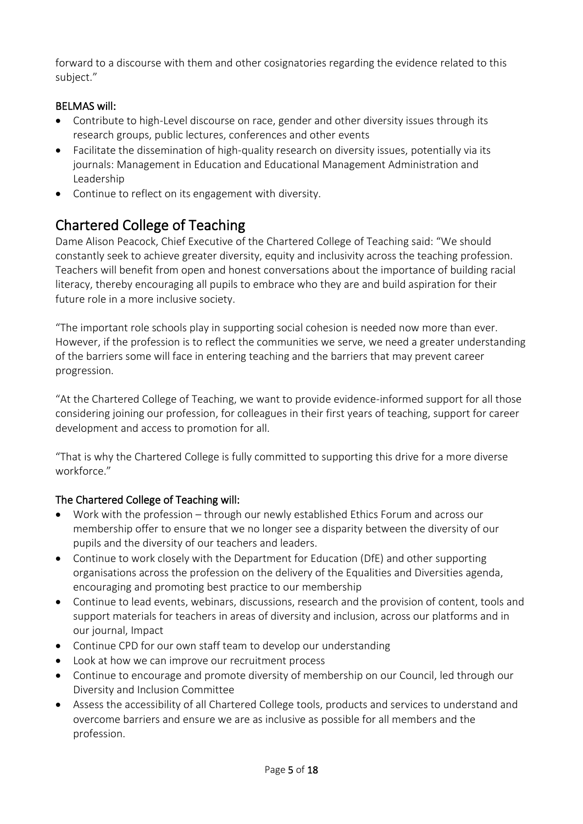forward to a discourse with them and other cosignatories regarding the evidence related to this subject."

### BELMAS will:

- Contribute to high-Level discourse on race, gender and other diversity issues through its research groups, public lectures, conferences and other events
- Facilitate the dissemination of high-quality research on diversity issues, potentially via its journals: Management in Education and Educational Management Administration and Leadership
- Continue to reflect on its engagement with diversity.

# Chartered College of Teaching

Dame Alison Peacock, Chief Executive of the Chartered College of Teaching said: "We should constantly seek to achieve greater diversity, equity and inclusivity across the teaching profession. Teachers will benefit from open and honest conversations about the importance of building racial literacy, thereby encouraging all pupils to embrace who they are and build aspiration for their future role in a more inclusive society.

"The important role schools play in supporting social cohesion is needed now more than ever. However, if the profession is to reflect the communities we serve, we need a greater understanding of the barriers some will face in entering teaching and the barriers that may prevent career progression.

"At the Chartered College of Teaching, we want to provide evidence-informed support for all those considering joining our profession, for colleagues in their first years of teaching, support for career development and access to promotion for all.

"That is why the Chartered College is fully committed to supporting this drive for a more diverse workforce"

### The Chartered College of Teaching will:

- Work with the profession through our newly established Ethics Forum and across our membership offer to ensure that we no longer see a disparity between the diversity of our pupils and the diversity of our teachers and leaders.
- Continue to work closely with the Department for Education (DfE) and other supporting organisations across the profession on the delivery of the Equalities and Diversities agenda, encouraging and promoting best practice to our membership
- Continue to lead events, webinars, discussions, research and the provision of content, tools and support materials for teachers in areas of diversity and inclusion, across our platforms and in our journal, Impact
- Continue CPD for our own staff team to develop our understanding
- Look at how we can improve our recruitment process
- Continue to encourage and promote diversity of membership on our Council, led through our Diversity and Inclusion Committee
- Assess the accessibility of all Chartered College tools, products and services to understand and overcome barriers and ensure we are as inclusive as possible for all members and the profession.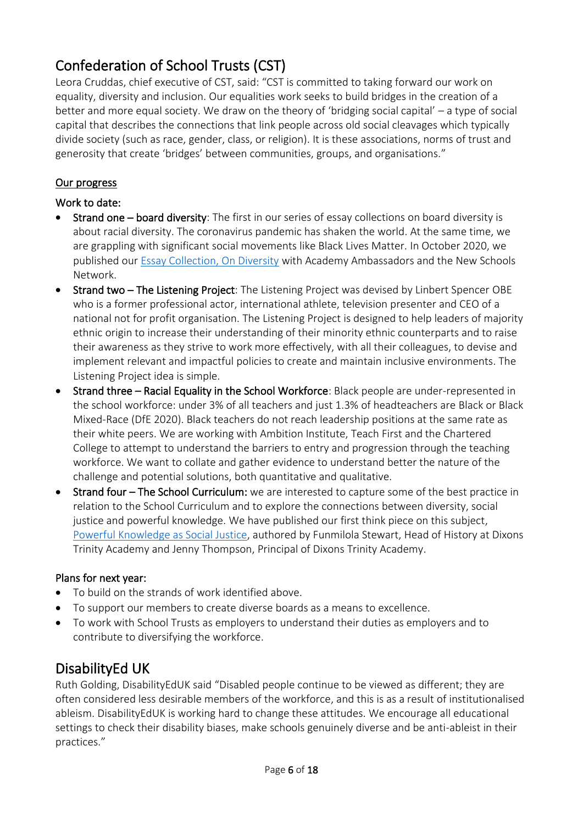# Confederation of School Trusts (CST)

Leora Cruddas, chief executive of CST, said: "CST is committed to taking forward our work on equality, diversity and inclusion. Our equalities work seeks to build bridges in the creation of a better and more equal society. We draw on the theory of 'bridging social capital' – a type of social capital that describes the connections that link people across old social cleavages which typically divide society (such as race, gender, class, or religion). It is these associations, norms of trust and generosity that create 'bridges' between communities, groups, and organisations."

#### Our progress

#### Work to date:

- Strand one board diversity: The first in our series of essay collections on board diversity is about racial diversity. The coronavirus pandemic has shaken the world. At the same time, we are grappling with significant social movements like Black Lives Matter. In October 2020, we published our [Essay Collection, On Diversity](https://cstuk.org.uk/assets/CST-Publications/On%20diversity_An%20essay%20collection.pdf) with Academy Ambassadors and the New Schools Network.
- Strand two The Listening Project: The Listening Project was devised by Linbert Spencer OBE who is a former professional actor, international athlete, television presenter and CEO of a national not for profit organisation. The Listening Project is designed to help leaders of majority ethnic origin to increase their understanding of their minority ethnic counterparts and to raise their awareness as they strive to work more effectively, with all their colleagues, to devise and implement relevant and impactful policies to create and maintain inclusive environments. The Listening Project idea is simple.
- Strand three Racial Equality in the School Workforce: Black people are under-represented in the school workforce: under 3% of all teachers and just 1.3% of headteachers are Black or Black Mixed-Race (DfE 2020). Black teachers do not reach leadership positions at the same rate as their white peers. We are working with Ambition Institute, Teach First and the Chartered College to attempt to understand the barriers to entry and progression through the teaching workforce. We want to collate and gather evidence to understand better the nature of the challenge and potential solutions, both quantitative and qualitative.
- Strand four The School Curriculum: we are interested to capture some of the best practice in relation to the School Curriculum and to explore the connections between diversity, social justice and powerful knowledge. We have published our first think piece on this subject, [Powerful Knowledge as Social Justice,](https://cstuk.org.uk/assets/pdfs/ICE_10071_CST_Powerful_Knowledge_As_Social_Justice_Whitepaper.pdf) authored by Funmilola Stewart, Head of History at Dixons Trinity Academy and Jenny Thompson, Principal of Dixons Trinity Academy.

#### Plans for next year:

- To build on the strands of work identified above.
- To support our members to create diverse boards as a means to excellence.
- To work with School Trusts as employers to understand their duties as employers and to contribute to diversifying the workforce.

## DisabilityEd UK

Ruth Golding, DisabilityEdUK said "Disabled people continue to be viewed as different; they are often considered less desirable members of the workforce, and this is as a result of institutionalised ableism. DisabilityEdUK is working hard to change these attitudes. We encourage all educational settings to check their disability biases, make schools genuinely diverse and be anti-ableist in their practices."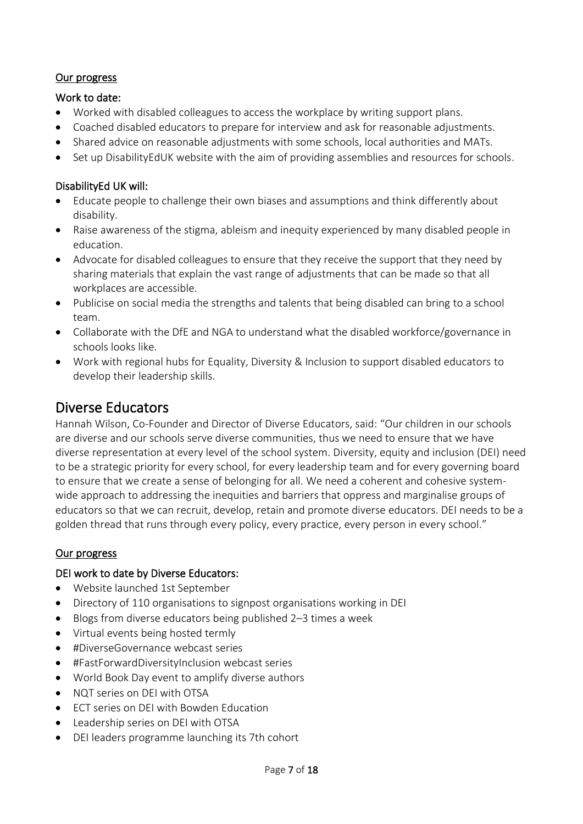#### Our progress

#### Work to date:

- Worked with disabled colleagues to access the workplace by writing support plans.
- Coached disabled educators to prepare for interview and ask for reasonable adjustments.
- Shared advice on reasonable adjustments with some schools, local authorities and MATs.
- Set up DisabilityEdUK website with the aim of providing assemblies and resources for schools.

#### DisabilityEd UK will:

- Educate people to challenge their own biases and assumptions and think differently about disability.
- Raise awareness of the stigma, ableism and inequity experienced by many disabled people in education.
- Advocate for disabled colleagues to ensure that they receive the support that they need by sharing materials that explain the vast range of adjustments that can be made so that all workplaces are accessible.
- Publicise on social media the strengths and talents that being disabled can bring to a school team.
- Collaborate with the DfE and NGA to understand what the disabled workforce/governance in schools looks like.
- Work with regional hubs for Equality, Diversity & Inclusion to support disabled educators to develop their leadership skills.

# Diverse Educators

Hannah Wilson, Co-Founder and Director of Diverse Educators, said: "Our children in our schools are diverse and our schools serve diverse communities, thus we need to ensure that we have diverse representation at every level of the school system. Diversity, equity and inclusion (DEI) need to be a strategic priority for every school, for every leadership team and for every governing board to ensure that we create a sense of belonging for all. We need a coherent and cohesive systemwide approach to addressing the inequities and barriers that oppress and marginalise groups of educators so that we can recruit, develop, retain and promote diverse educators. DEI needs to be a golden thread that runs through every policy, every practice, every person in every school."

#### Our progress

#### DEI work to date by Diverse Educators:

- Website launched 1st September
- Directory of 110 organisations to signpost organisations working in DEI
- Blogs from diverse educators being published 2–3 times a week
- Virtual events being hosted termly
- #DiverseGovernance webcast series
- #FastForwardDiversityInclusion webcast series
- World Book Day event to amplify diverse authors
- NOT series on DEI with OTSA
- ECT series on DEI with Bowden Education
- Leadership series on DEI with OTSA
- DEI leaders programme launching its 7th cohort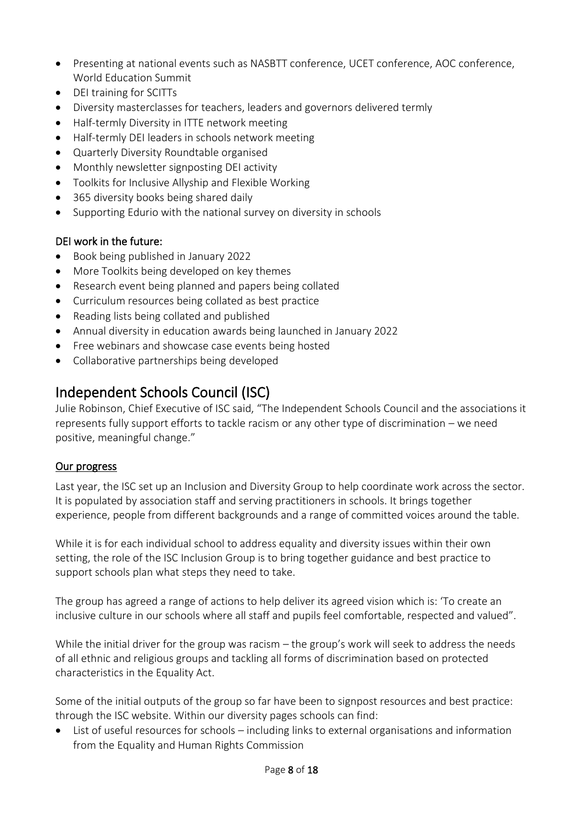- Presenting at national events such as NASBTT conference, UCET conference, AOC conference, World Education Summit
- DEI training for SCITTs
- Diversity masterclasses for teachers, leaders and governors delivered termly
- Half-termly Diversity in ITTE network meeting
- Half-termly DEI leaders in schools network meeting
- Quarterly Diversity Roundtable organised
- Monthly newsletter signposting DEI activity
- Toolkits for Inclusive Allyship and Flexible Working
- 365 diversity books being shared daily
- Supporting Edurio with the national survey on diversity in schools

#### DEI work in the future:

- Book being published in January 2022
- More Toolkits being developed on key themes
- Research event being planned and papers being collated
- Curriculum resources being collated as best practice
- Reading lists being collated and published
- Annual diversity in education awards being launched in January 2022
- Free webinars and showcase case events being hosted
- Collaborative partnerships being developed

## Independent Schools Council (ISC)

Julie Robinson, Chief Executive of ISC said, "The Independent Schools Council and the associations it represents fully support efforts to tackle racism or any other type of discrimination – we need positive, meaningful change."

#### Our progress

Last year, the ISC set up an Inclusion and Diversity Group to help coordinate work across the sector. It is populated by association staff and serving practitioners in schools. It brings together experience, people from different backgrounds and a range of committed voices around the table.

While it is for each individual school to address equality and diversity issues within their own setting, the role of the ISC Inclusion Group is to bring together guidance and best practice to support schools plan what steps they need to take.

The group has agreed a range of actions to help deliver its agreed vision which is: 'To create an inclusive culture in our schools where all staff and pupils feel comfortable, respected and valued".

While the initial driver for the group was racism – the group's work will seek to address the needs of all ethnic and religious groups and tackling all forms of discrimination based on protected characteristics in the Equality Act.

Some of the initial outputs of the group so far have been to signpost resources and best practice: through the ISC website. Within our diversity pages schools can find:

• List of useful resources for schools – including links to external organisations and information from the Equality and Human Rights Commission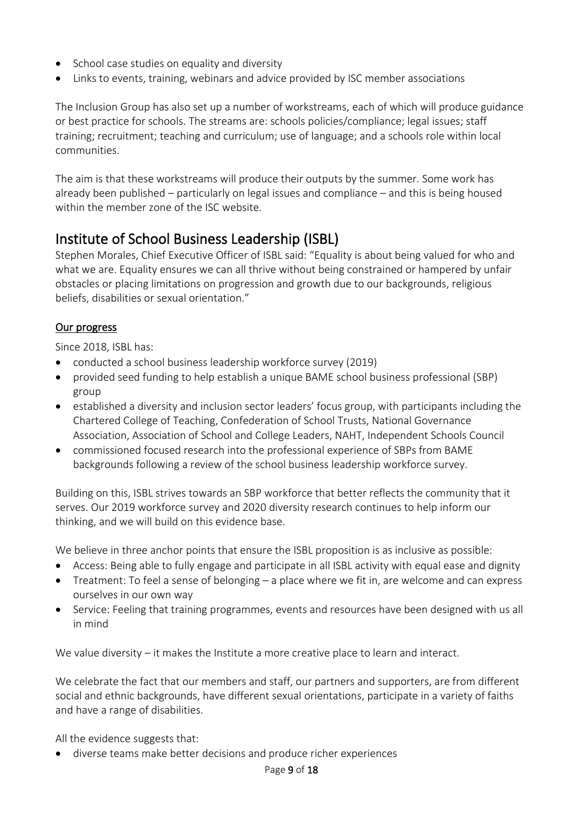- School case studies on equality and diversity
- Links to events, training, webinars and advice provided by ISC member associations

The Inclusion Group has also set up a number of workstreams, each of which will produce guidance or best practice for schools. The streams are: schools policies/compliance; legal issues; staff training; recruitment; teaching and curriculum; use of language; and a schools role within local communities.

The aim is that these workstreams will produce their outputs by the summer. Some work has already been published – particularly on legal issues and compliance – and this is being housed within the member zone of the ISC website.

### Institute of School Business Leadership (ISBL)

Stephen Morales, Chief Executive Officer of ISBL said: "Equality is about being valued for who and what we are. Equality ensures we can all thrive without being constrained or hampered by unfair obstacles or placing limitations on progression and growth due to our backgrounds, religious beliefs, disabilities or sexual orientation."

#### Our progress

Since 2018, ISBL has:

- conducted a school business leadership workforce survey (2019)
- provided seed funding to help establish a unique BAME school business professional (SBP) group
- established a diversity and inclusion sector leaders' focus group, with participants including the Chartered College of Teaching, Confederation of School Trusts, National Governance Association, Association of School and College Leaders, NAHT, Independent Schools Council
- commissioned focused research into the professional experience of SBPs from BAME backgrounds following a review of the school business leadership workforce survey.

Building on this, ISBL strives towards an SBP workforce that better reflects the community that it serves. Our 2019 workforce survey [and 2020 diversity research](https://isbl.org.uk/Resource/Sector-research.aspx) continues to help inform our thinking, and we will build on this evidence base.

We believe in three anchor points that ensure the ISBL proposition is as inclusive as possible:

- Access: Being able to fully engage and participate in all ISBL activity with equal ease and dignity
- Treatment: To feel a sense of belonging a place where we fit in, are welcome and can express ourselves in our own way
- Service: Feeling that training programmes, events and resources have been designed with us all in mind

We value diversity – it makes the Institute a more creative place to learn and interact.

We celebrate the fact that our members and staff, our partners and supporters, are from different social and ethnic backgrounds, have different sexual orientations, participate in a variety of faiths and have a range of disabilities.

All the evidence suggests that:

• diverse teams make better decisions and produce richer experiences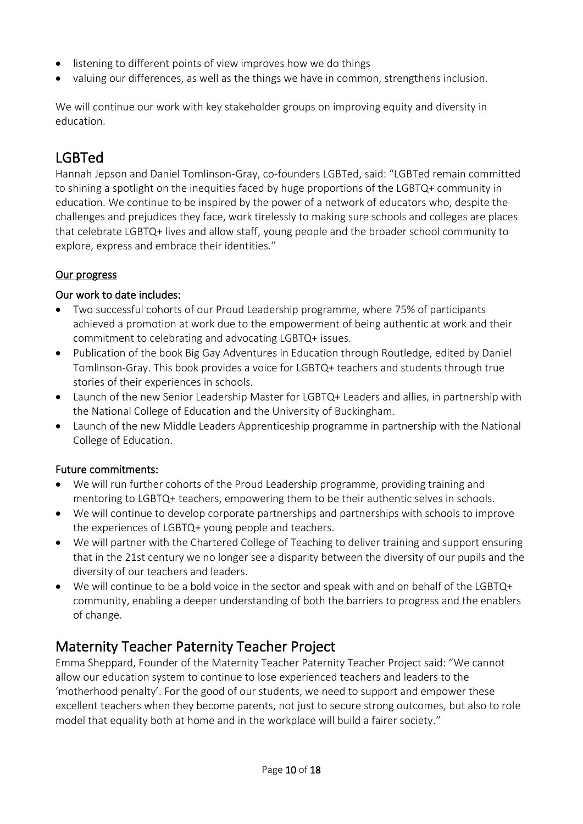- listening to different points of view improves how we do things
- valuing our differences, as well as the things we have in common, strengthens inclusion.

We will continue our work with key stakeholder groups on improving equity and diversity in education.

# LGBTed

Hannah Jepson and Daniel Tomlinson-Gray, co-founders LGBTed, said: "LGBTed remain committed to shining a spotlight on the inequities faced by huge proportions of the LGBTQ+ community in education. We continue to be inspired by the power of a network of educators who, despite the challenges and prejudices they face, work tirelessly to making sure schools and colleges are places that celebrate LGBTQ+ lives and allow staff, young people and the broader school community to explore, express and embrace their identities."

### Our progress

#### Our work to date includes:

- Two successful cohorts of our Proud Leadership programme, where 75% of participants achieved a promotion at work due to the empowerment of being authentic at work and their commitment to celebrating and advocating LGBTQ+ issues.
- Publication of the book Big Gay Adventures in Education through Routledge, edited by Daniel Tomlinson-Gray. This book provides a voice for LGBTQ+ teachers and students through true stories of their experiences in schools.
- Launch of the new Senior Leadership Master for LGBTQ+ Leaders and allies, in partnership with the National College of Education and the University of Buckingham.
- Launch of the new Middle Leaders Apprenticeship programme in partnership with the National College of Education.

### Future commitments:

- We will run further cohorts of the Proud Leadership programme, providing training and mentoring to LGBTQ+ teachers, empowering them to be their authentic selves in schools.
- We will continue to develop corporate partnerships and partnerships with schools to improve the experiences of LGBTQ+ young people and teachers.
- We will partner with the Chartered College of Teaching to deliver training and support ensuring that in the 21st century we no longer see a disparity between the diversity of our pupils and the diversity of our teachers and leaders.
- We will continue to be a bold voice in the sector and speak with and on behalf of the LGBTQ+ community, enabling a deeper understanding of both the barriers to progress and the enablers of change.

## Maternity Teacher Paternity Teacher Project

Emma Sheppard, Founder of the Maternity Teacher Paternity Teacher Project said: "We cannot allow our education system to continue to lose experienced teachers and leaders to the 'motherhood penalty'. For the good of our students, we need to support and empower these excellent teachers when they become parents, not just to secure strong outcomes, but also to role model that equality both at home and in the workplace will build a fairer society."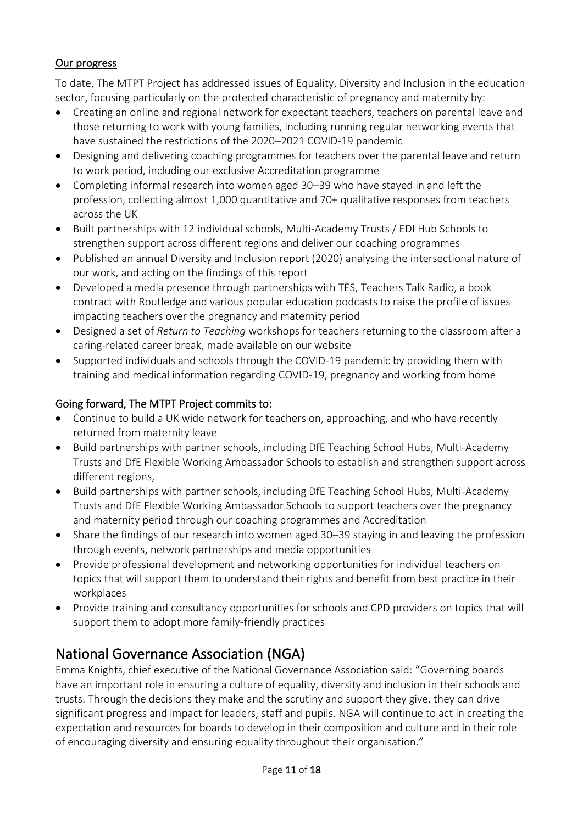#### Our progress

To date, The MTPT Project has addressed issues of Equality, Diversity and Inclusion in the education sector, focusing particularly on the protected characteristic of pregnancy and maternity by:

- Creating an online and regional network for expectant teachers, teachers on parental leave and those returning to work with young families, including running regular networking events that have sustained the restrictions of the 2020–2021 COVID-19 pandemic
- Designing and delivering coaching programmes for teachers over the parental leave and return to work period, including our exclusive Accreditation programme
- Completing informal research into women aged 30–39 who have stayed in and left the profession, collecting almost 1,000 quantitative and 70+ qualitative responses from teachers across the UK
- Built partnerships with 12 individual schools, Multi-Academy Trusts / EDI Hub Schools to strengthen support across different regions and deliver our coaching programmes
- Published an annual Diversity and Inclusion report (2020) analysing the intersectional nature of our work, and acting on the findings of this report
- Developed a media presence through partnerships with TES, Teachers Talk Radio, a book contract with Routledge and various popular education podcasts to raise the profile of issues impacting teachers over the pregnancy and maternity period
- Designed a set of *Return to Teaching* workshops for teachers returning to the classroom after a caring-related career break, made available on our website
- Supported individuals and schools through the COVID-19 pandemic by providing them with training and medical information regarding COVID-19, pregnancy and working from home

### Going forward, The MTPT Project commits to:

- Continue to build a UK wide network for teachers on, approaching, and who have recently returned from maternity leave
- Build partnerships with partner schools, including DfE Teaching School Hubs, Multi-Academy Trusts and DfE Flexible Working Ambassador Schools to establish and strengthen support across different regions,
- Build partnerships with partner schools, including DfE Teaching School Hubs, Multi-Academy Trusts and DfE Flexible Working Ambassador Schools to support teachers over the pregnancy and maternity period through our coaching programmes and Accreditation
- Share the findings of our research into women aged 30–39 staying in and leaving the profession through events, network partnerships and media opportunities
- Provide professional development and networking opportunities for individual teachers on topics that will support them to understand their rights and benefit from best practice in their workplaces
- Provide training and consultancy opportunities for schools and CPD providers on topics that will support them to adopt more family-friendly practices

# National Governance Association (NGA)

Emma Knights, chief executive of the National Governance Association said: "Governing boards have an important role in ensuring a culture of equality, diversity and inclusion in their schools and trusts. Through the decisions they make and the scrutiny and support they give, they can drive significant progress and impact for leaders, staff and pupils. NGA will continue to act in creating the expectation and resources for boards to develop in their composition and culture and in their role of encouraging diversity and ensuring equality throughout their organisation."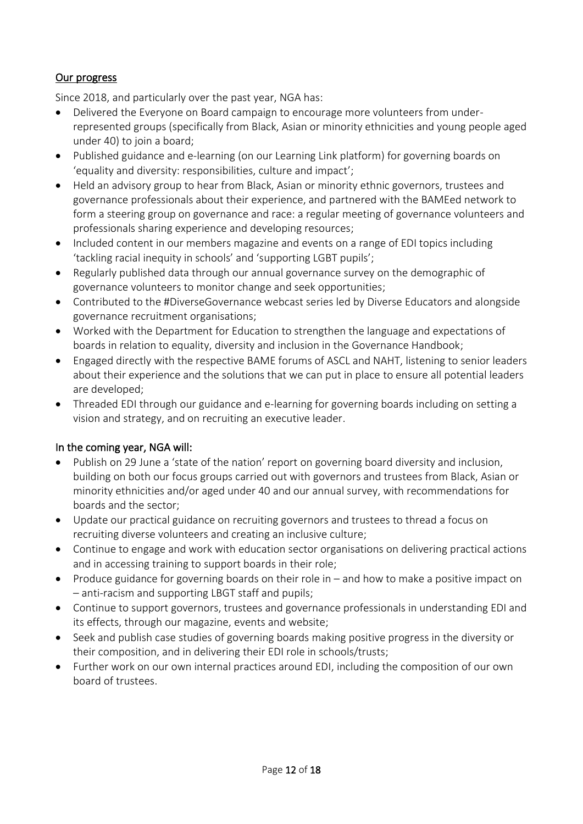#### Our progress

Since 2018, and particularly over the past year, NGA has:

- Delivered the Everyone on Board campaign to encourage more volunteers from underrepresented groups (specifically from Black, Asian or minority ethnicities and young people aged under 40) to join a board;
- Published guidance and e-learning (on our Learning Link platform) for governing boards on '[equality and diversity: responsibilities, culture and impact](https://www.nga.org.uk/Knowledge-Centre/Vision-ethos-and-strategic-direction/Equality-and-diversity-responsibilities,-culture-a.aspx)';
- Held an advisory group to hear from Black, Asian or minority ethnic governors, trustees and governance professionals about their experience, and partnered with the BAMEed network to form a steering group on governance and race: a regular meeting of governance volunteers and professionals sharing experience and developing resources;
- Included content in our members magazine and events on a range of EDI topics including 'tackling racial inequity in schools' and 'supporting LGBT pupils';
- Regularly published data through our annual governance survey on the demographic of governance volunteers to monitor change and seek opportunities;
- Contributed to the #DiverseGovernance webcast series led by Diverse Educators and alongside governance recruitment organisations;
- Worked with the Department for Education to strengthen the language and expectations of boards in relation to equality, diversity and inclusion in the Governance Handbook;
- Engaged directly with the respective BAME forums of ASCL and NAHT, listening to senior leaders about their experience and the solutions that we can put in place to ensure all potential leaders are developed;
- Threaded EDI through our guidance and e-learning for governing boards including on setting a vision and strategy, and on recruiting an executive leader.

#### In the coming year, NGA will:

- Publish on 29 June a 'state of the nation' report on governing board diversity and inclusion, building on both our focus groups carried out with governors and trustees from Black, Asian or minority ethnicities and/or aged under 40 and our annual survey, with recommendations for boards and the sector;
- Update our practical guidance on recruiting governors and trustees to thread a focus on recruiting diverse volunteers and creating an inclusive culture;
- Continue to engage and work with education sector organisations on delivering practical actions and in accessing training to support boards in their role;
- Produce guidance for governing boards on their role in and how to make a positive impact on – anti-racism and supporting LBGT staff and pupils;
- Continue to support governors, trustees and governance professionals in understanding EDI and its effects, through our magazine, events and website;
- Seek and publish case studies of governing boards making positive progress in the diversity or their composition, and in delivering their EDI role in schools/trusts;
- Further work on our own internal practices around EDI, including the composition of our own board of trustees.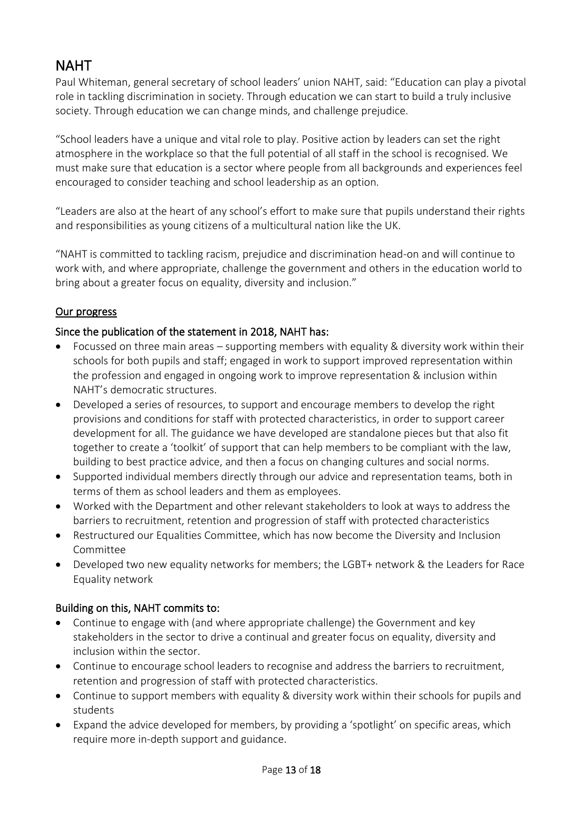# **NAHT**

Paul Whiteman, general secretary of school leaders' union NAHT, said: "Education can play a pivotal role in tackling discrimination in society. Through education we can start to build a truly inclusive society. Through education we can change minds, and challenge prejudice.

"School leaders have a unique and vital role to play. Positive action by leaders can set the right atmosphere in the workplace so that the full potential of all staff in the school is recognised. We must make sure that education is a sector where people from all backgrounds and experiences feel encouraged to consider teaching and school leadership as an option.

"Leaders are also at the heart of any school's effort to make sure that pupils understand their rights and responsibilities as young citizens of a multicultural nation like the UK.

"NAHT is committed to tackling racism, prejudice and discrimination head-on and will continue to work with, and where appropriate, challenge the government and others in the education world to bring about a greater focus on equality, diversity and inclusion."

### Our progress

#### Since the publication of the statement in 2018, NAHT has:

- Focussed on three main areas supporting members with equality & diversity work within their schools for both pupils and staff; engaged in work to support improved representation within the profession and engaged in ongoing work to improve representation & inclusion within NAHT's democratic structures.
- Developed a series of resources, to support and encourage members to develop the right provisions and conditions for staff with protected characteristics, in order to support career development for all. The guidance we have developed are standalone pieces but that also fit together to create a 'toolkit' of support that can help members to be compliant with the law, building to best practice advice, and then a focus on changing cultures and social norms.
- Supported individual members directly through our advice and representation teams, both in terms of them as school leaders and them as employees.
- Worked with the Department and other relevant stakeholders to look at ways to address the barriers to recruitment, retention and progression of staff with protected characteristics
- Restructured our Equalities Committee, which has now become the Diversity and Inclusion Committee
- Developed two new equality networks for members; the [LGBT+ network](https://protect-eu.mimecast.com/s/fkoZCJqz5hP4r3TVHsAo) & th[e Leaders for Race](https://protect-eu.mimecast.com/s/1uedCKZz4I0AEzSvfsds)  [Equality network](https://protect-eu.mimecast.com/s/1uedCKZz4I0AEzSvfsds)

#### Building on this, NAHT commits to:

- Continue to engage with (and where appropriate challenge) the Government and key stakeholders in the sector to drive a continual and greater focus on equality, diversity and inclusion within the sector.
- Continue to encourage school leaders to recognise and address the barriers to recruitment, retention and progression of staff with protected characteristics.
- Continue to support members with equality & diversity work within their schools for pupils and students
- Expand the advice developed for members, by providing a 'spotlight' on specific areas, which require more in-depth support and guidance.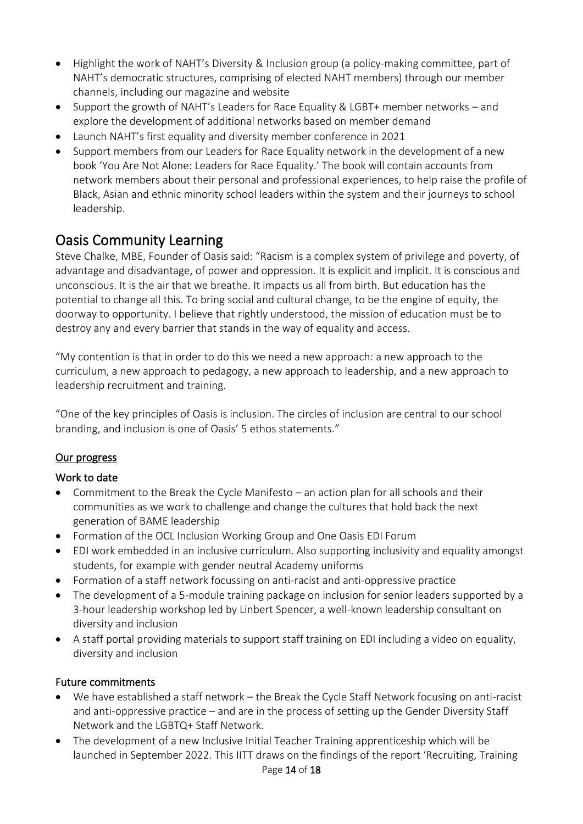- Highlight the work of NAHT's Diversity & Inclusion group (a policy-making committee, part of NAHT's democratic structures, comprising of elected NAHT members) through our member channels, including our magazine and website
- Support the growth of NAHT's Leaders for Race Equality & LGBT+ member networks and explore the development of additional networks based on member demand
- Launch NAHT's first equality and diversity member conference in 2021
- Support members from our Leaders for Race Equality network in the development of a new book 'You Are Not Alone: Leaders for Race Equality.' The book will contain accounts from network members about their personal and professional experiences, to help raise the profile of Black, Asian and ethnic minority school leaders within the system and their journeys to school leadership.

## Oasis Community Learning

Steve Chalke, MBE, Founder of Oasis said: "Racism is a complex system of privilege and poverty, of advantage and disadvantage, of power and oppression. It is explicit and implicit. It is conscious and unconscious. It is the air that we breathe. It impacts us all from birth. But education has the potential to change all this. To bring social and cultural change, to be the engine of equity, the doorway to opportunity. I believe that rightly understood, the mission of education must be to destroy any and every barrier that stands in the way of equality and access.

"My contention is that in order to do this we need a new approach: a new approach to the curriculum, a new approach to pedagogy, a new approach to leadership, and a new approach to leadership recruitment and training.

"One of the key principles of Oasis is inclusion. The circles of inclusion are central to our school branding, and inclusion is one of Oasis' 5 ethos statements."

#### Our progress

#### Work to date

- Commitment to the Break the Cycle Manifesto an action plan for all schools and their communities as we work to challenge and change the cultures that hold back the next generation of BAME leadership
- Formation of the OCL Inclusion Working Group and One Oasis EDI Forum
- EDI work embedded in an inclusive curriculum. Also supporting inclusivity and equality amongst students, for example with gender neutral Academy uniforms
- Formation of a staff network focussing on anti-racist and anti-oppressive practice
- The development of a 5-module training package on inclusion for senior leaders supported by a 3-hour leadership workshop led by Linbert Spencer, a well-known leadership consultant on diversity and inclusion
- A staff portal providing materials to support staff training on EDI including a video on equality, diversity and inclusion

#### Future commitments

- We have established a staff network the Break the Cycle Staff Network focusing on anti-racist and anti-oppressive practice – and are in the process of setting up the Gender Diversity Staff Network and the LGBTQ+ Staff Network.
- The development of a new Inclusive Initial Teacher Training apprenticeship which will be launched in September 2022. This IITT draws on the findings of the report 'Recruiting, Training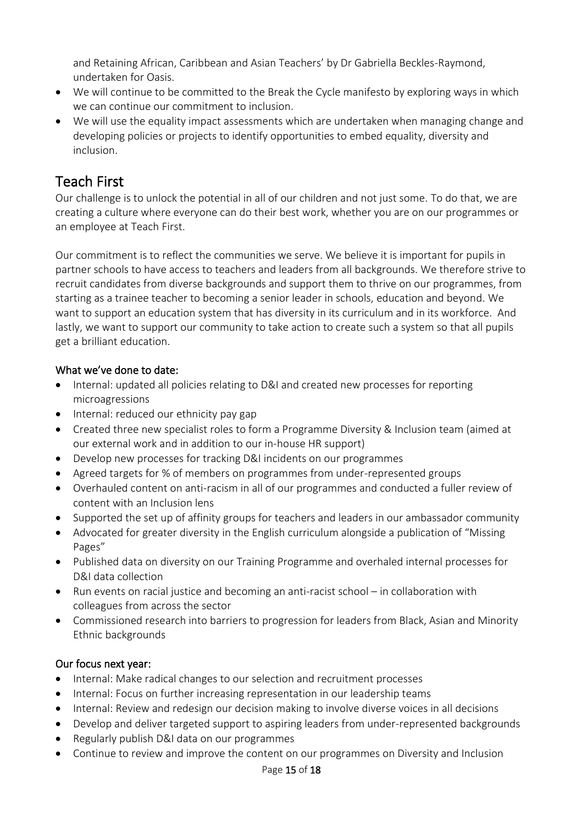and Retaining African, Caribbean and Asian Teachers' by Dr Gabriella Beckles-Raymond, undertaken for Oasis.

- We will continue to be committed to the Break the Cycle manifesto by exploring ways in which we can continue our commitment to inclusion.
- We will use the equality impact assessments which are undertaken when managing change and developing policies or projects to identify opportunities to embed equality, diversity and inclusion.

# Teach First

Our challenge is to unlock the potential in all of our children and not just some. To do that, we are creating a culture where everyone can do their best work, whether you are on our programmes or an employee at Teach First.

Our commitment is to reflect the communities we serve. We believe it is important for pupils in partner schools to have access to teachers and leaders from all backgrounds. We therefore strive to recruit candidates from diverse backgrounds and support them to thrive on our programmes, from starting as a trainee teacher to becoming a senior leader in schools, education and beyond. We want to support an education system that has diversity in its curriculum and in its workforce. And lastly, we want to support our community to take action to create such a system so that all pupils get a brilliant education.

### What we've done to date:

- Internal: updated all policies relating to D&I and created new processes for reporting microagressions
- Internal: reduced our ethnicity pay gap
- Created three new specialist roles to form a Programme Diversity & Inclusion team (aimed at our external work and in addition to our in-house HR support)
- Develop new processes for tracking D&I incidents on our programmes
- Agreed targets for % of members on programmes from under-represented groups
- Overhauled content on anti-racism in all of our programmes and conducted a fuller review of content with an Inclusion lens
- Supported the set up of affinity groups for teachers and leaders in our ambassador community
- Advocated for greater diversity in the English curriculum alongside a publication of "Missing Pages"
- Published data on diversity on our Training Programme and overhaled internal processes for D&I data collection
- Run events on racial justice and becoming an anti-racist school in collaboration with colleagues from across the sector
- Commissioned research into barriers to progression for leaders from Black, Asian and Minority Ethnic backgrounds

### Our focus next year:

- Internal: Make radical changes to our selection and recruitment processes
- Internal: Focus on further increasing representation in our leadership teams
- Internal: Review and redesign our decision making to involve diverse voices in all decisions
- Develop and deliver targeted support to aspiring leaders from under-represented backgrounds
- Regularly publish D&I data on our programmes
- Continue to review and improve the content on our programmes on Diversity and Inclusion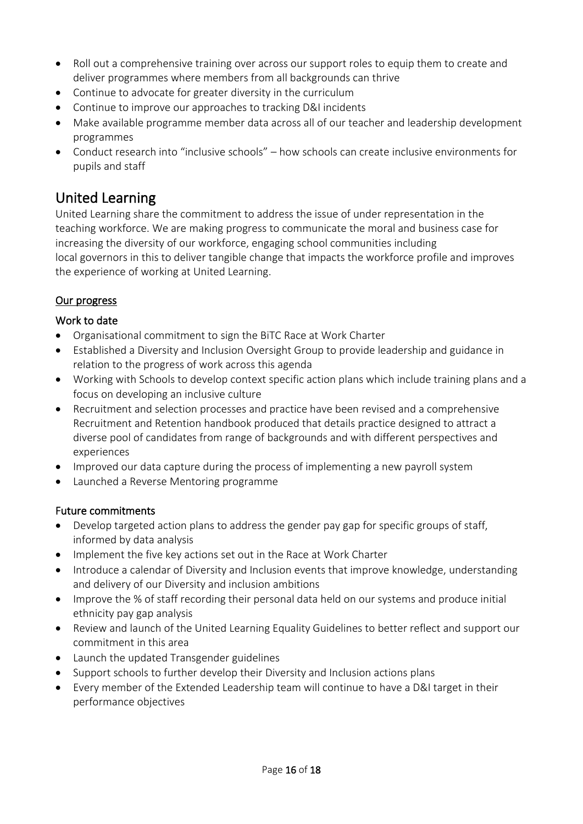- Roll out a comprehensive training over across our support roles to equip them to create and deliver programmes where members from all backgrounds can thrive
- Continue to advocate for greater diversity in the curriculum
- Continue to improve our approaches to tracking D&I incidents
- Make available programme member data across all of our teacher and leadership development programmes
- Conduct research into "inclusive schools" how schools can create inclusive environments for pupils and staff

# United Learning

United Learning share the commitment to address the issue of under representation in the teaching workforce. We are making progress to communicate the moral and business case for increasing the diversity of our workforce, engaging school communities including local governors in this to deliver tangible change that impacts the workforce profile and improves the experience of working at United Learning.

### Our progress

#### Work to date

- Organisational commitment to sign the BiTC Race at Work Charter
- Established a Diversity and Inclusion Oversight Group to provide leadership and guidance in relation to the progress of work across this agenda
- Working with Schools to develop context specific action plans which include training plans and a focus on developing an inclusive culture
- Recruitment and selection processes and practice have been revised and a comprehensive Recruitment and Retention handbook produced that details practice designed to attract a diverse pool of candidates from range of backgrounds and with different perspectives and experiences
- Improved our data capture during the process of implementing a new payroll system
- Launched a Reverse Mentoring programme

### Future commitments

- Develop targeted action plans to address the gender pay gap for specific groups of staff, informed by data analysis
- Implement the five key actions set out in the Race at Work Charter
- Introduce a calendar of Diversity and Inclusion events that improve knowledge, understanding and delivery of our Diversity and inclusion ambitions
- Improve the % of staff recording their personal data held on our systems and produce initial ethnicity pay gap analysis
- Review and launch of the United Learning Equality Guidelines to better reflect and support our commitment in this area
- Launch the updated Transgender guidelines
- Support schools to further develop their Diversity and Inclusion actions plans
- Every member of the Extended Leadership team will continue to have a D&I target in their performance objectives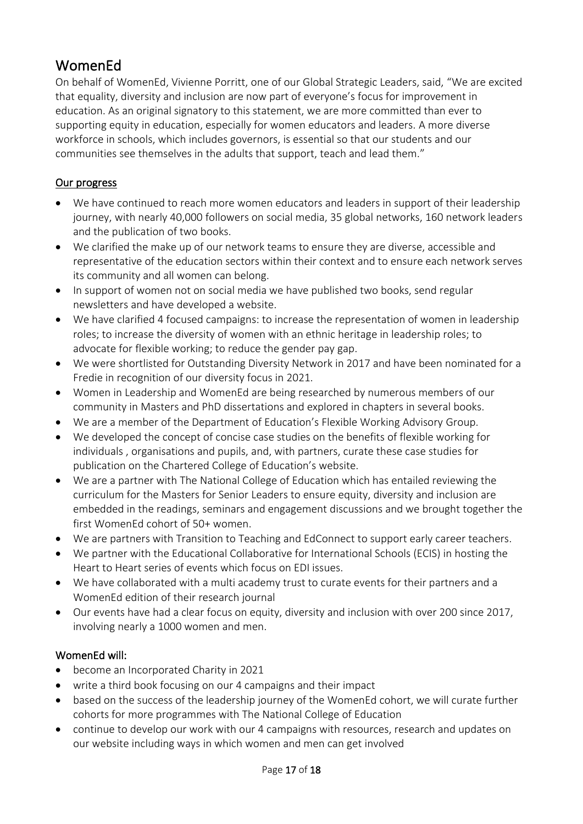# WomenEd

On behalf of WomenEd, Vivienne Porritt, one of our Global Strategic Leaders, said, "We are excited that equality, diversity and inclusion are now part of everyone's focus for improvement in education. As an original signatory to this statement, we are more committed than ever to supporting equity in education, especially for women educators and leaders. A more diverse workforce in schools, which includes governors, is essential so that our students and our communities see themselves in the adults that support, teach and lead them."

#### Our progress

- We have continued to reach more women educators and leaders in support of their leadership journey, with nearly 40,000 followers on social media, 35 global networks, 160 network leaders and the publication of two books.
- We clarified the make up of our network teams to ensure they are diverse, accessible and representative of the education sectors within their context and to ensure each network serves its community and all women can belong.
- In support of women not on social media we have published two books, send regular newsletters and have developed a website.
- We have clarified 4 focused campaigns: to increase the representation of women in leadership roles; to increase the diversity of women with an ethnic heritage in leadership roles; to advocate for flexible working; to reduce the gender pay gap.
- We were shortlisted for Outstanding Diversity Network in 2017 and have been nominated for a Fredie in recognition of our diversity focus in 2021.
- Women in Leadership and WomenEd are being researched by numerous members of our community in Masters and PhD dissertations and explored in chapters in several books.
- We are a member of the Department of Education's Flexible Working Advisory Group.
- We developed the concept of concise case studies on the benefits of flexible working for individuals , organisations and pupils, and, with partners, curate these case studies for publication on the Chartered College of Education's website.
- We are a partner with The National College of Education which has entailed reviewing the curriculum for the Masters for Senior Leaders to ensure equity, diversity and inclusion are embedded in the readings, seminars and engagement discussions and we brought together the first WomenEd cohort of 50+ women.
- We are partners with Transition to Teaching and EdConnect to support early career teachers.
- We partner with the Educational Collaborative for International Schools (ECIS) in hosting the Heart to Heart series of events which focus on EDI issues.
- We have collaborated with a multi academy trust to curate events for their partners and a WomenEd edition of their research journal
- Our events have had a clear focus on equity, diversity and inclusion with over 200 since 2017, involving nearly a 1000 women and men.

#### WomenEd will:

- become an Incorporated Charity in 2021
- write a third book focusing on our 4 campaigns and their impact
- based on the success of the leadership journey of the WomenEd cohort, we will curate further cohorts for more programmes with The National College of Education
- continue to develop our work with our 4 campaigns with resources, research and updates on our website including ways in which women and men can get involved